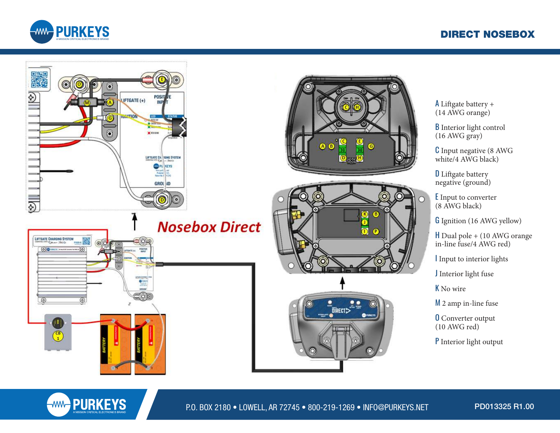## DIRECT NOSEBOX





A Liftgate battery + (14 AWG orange)

B Interior light control (16 AWG gray)

C Input negative (8 AWG white/4 AWG black)

**D** Liftgate battery negative (ground)

E Input to converter (8 AWG black)

G Ignition (16 AWG yellow)

H Dual pole + (10 AWG orange in-line fuse/4 AWG red)

I Input to interior lights

J Interior light fuse

K No wire

M 2 amp in-line fuse

**O** Converter output (10 AWG red)

P Interior light output

**WAND PURKEYS** 

P.O. BOX 2180 • LOWELL, AR 72745 • 800-219-1269 • INFO@PURKEYS.NET

PD013325 R1.00